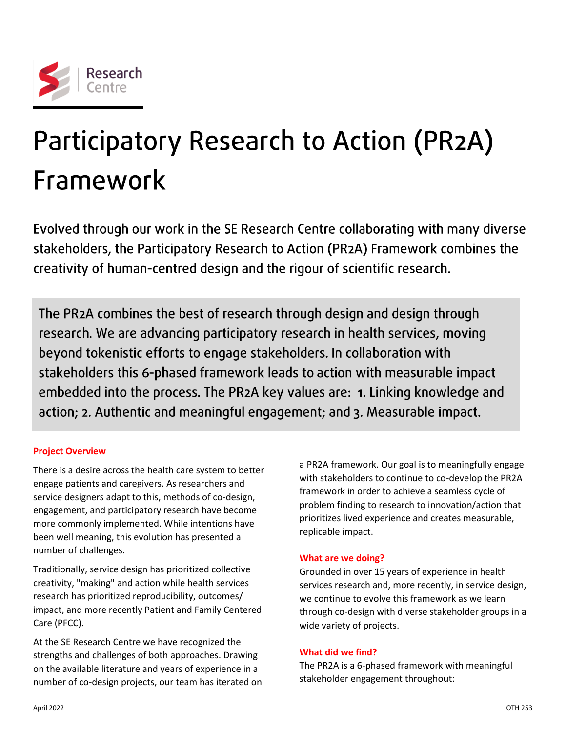

# Participatory Research to Action (PR2A) Framework

Evolved through our work in the SE Research Centre collaborating with many diverse stakeholders, the Participatory Research to Action (PR2A) Framework combines the creativity of human-centred design and the rigour of scientific research.

The PR2A combines the best of research through design and design through research. We are advancing participatory research in health services, moving beyond tokenistic efforts to engage stakeholders. In collaboration with stakeholders this 6-phased framework leads to action with measurable impact embedded into the process. The PR2A key values are: 1. Linking knowledge and action; 2. Authentic and meaningful engagement; and 3. Measurable impact.

# **Project Overview**

There is a desire across the health care system to better engage patients and caregivers. As researchers and service designers adapt to this, methods of co-design, engagement, and participatory research have become more commonly implemented. While intentions have been well meaning, this evolution has presented a number of challenges.

Traditionally, service design has prioritized collective creativity, "making" and action while health services research has prioritized reproducibility, outcomes/ impact, and more recently Patient and Family Centered Care (PFCC).

At the SE Research Centre we have recognized the strengths and challenges of both approaches. Drawing on the available literature and years of experience in a number of co-design projects, our team has iterated on a PR2A framework. Our goal is to meaningfully engage with stakeholders to continue to co-develop the PR2A framework in order to achieve a seamless cycle of problem finding to research to innovation/action that prioritizes lived experience and creates measurable, replicable impact.

# **What are we doing?**

Grounded in over 15 years of experience in health services research and, more recently, in service design, we continue to evolve this framework as we learn through co-design with diverse stakeholder groups in a wide variety of projects.

# **What did we find?**

The PR2A is a 6-phased framework with meaningful stakeholder engagement throughout: